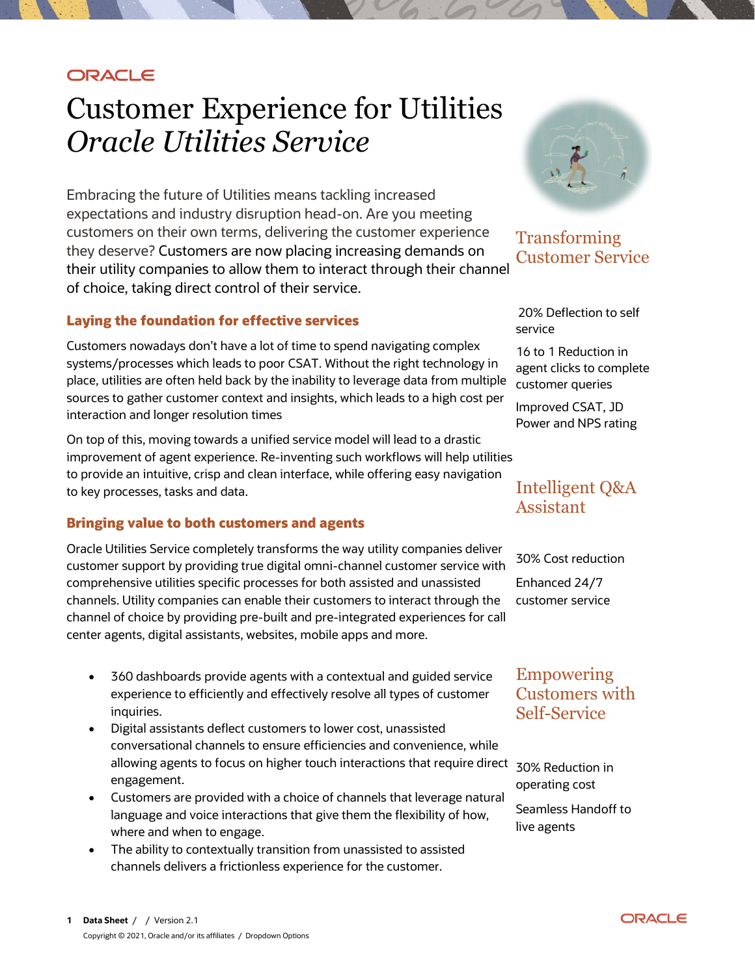## **ORACLE**

# Customer Experience for Utilities *Oracle Utilities Service*

Embracing the future of Utilities means tackling increased expectations and industry disruption head-on. Are you meeting customers on their own terms, delivering the customer experience they deserve? Customers are now placing increasing demands on their utility companies to allow them to interact through their channel of choice, taking direct control of their service.

#### **Laying the foundation for effective services**

Customers nowadays don't have a lot of time to spend navigating complex systems/processes which leads to poor CSAT. Without the right technology in place, utilities are often held back by the inability to leverage data from multiple sources to gather customer context and insights, which leads to a high cost per interaction and longer resolution times

On top of this, moving towards a unified service model will lead to a drastic improvement of agent experience. Re-inventing such workflows will help utilities to provide an intuitive, crisp and clean interface, while offering easy navigation to key processes, tasks and data.

### **Bringing value to both customers and agents**

Oracle Utilities Service completely transforms the way utility companies deliver customer support by providing true digital omni-channel customer service with comprehensive utilities specific processes for both assisted and unassisted channels. Utility companies can enable their customers to interact through the channel of choice by providing pre-built and pre-integrated experiences for call center agents, digital assistants, websites, mobile apps and more.

- 360 dashboards provide agents with a contextual and guided service experience to efficiently and effectively resolve all types of customer inquiries.
- Digital assistants deflect customers to lower cost, unassisted conversational channels to ensure efficiencies and convenience, while allowing agents to focus on higher touch interactions that require direct 30% Reduction in engagement.
- Customers are provided with a choice of channels that leverage natural language and voice interactions that give them the flexibility of how, where and when to engage.
- The ability to contextually transition from unassisted to assisted channels delivers a frictionless experience for the customer.



## Transforming Customer Service

20% Deflection to self service

16 to 1 Reduction in agent clicks to complete customer queries

Improved CSAT, JD Power and NPS rating

## Intelligent Q&A Assistant

30% Cost reduction

Enhanced 24/7 customer service

## Empowering Customers with Self-Service

operating cost Seamless Handoff to live agents

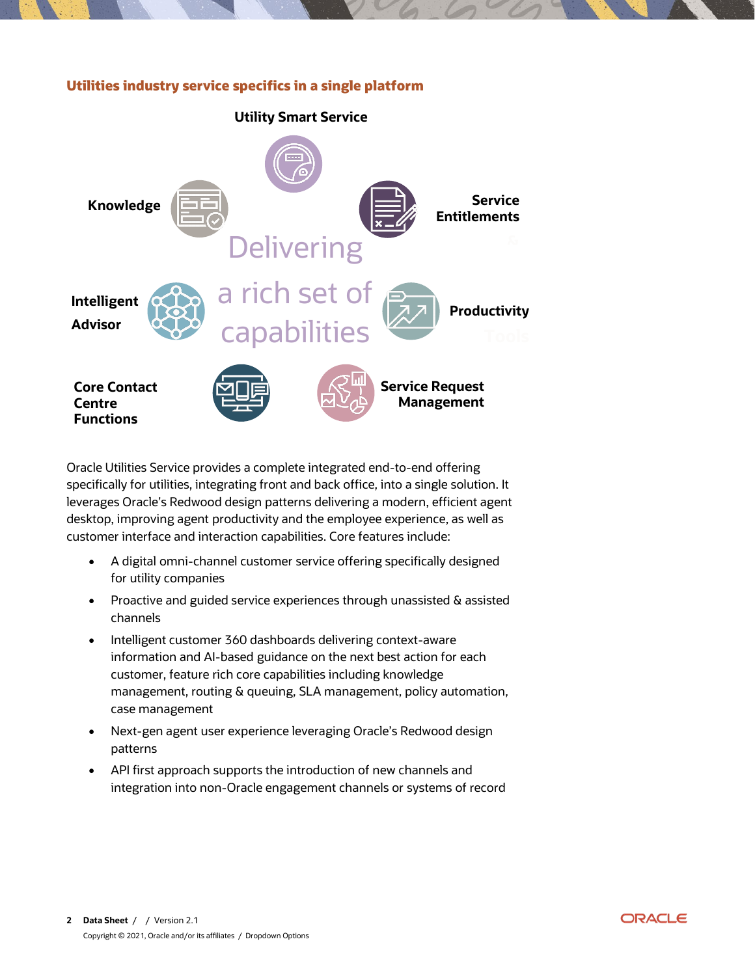#### **Utilities industry service specifics in a single platform**



Oracle Utilities Service provides a complete integrated end-to-end offering specifically for utilities, integrating front and back office, into a single solution. It leverages Oracle's Redwood design patterns delivering a modern, efficient agent desktop, improving agent productivity and the employee experience, as well as customer interface and interaction capabilities. Core features include:

- A digital omni-channel customer service offering specifically designed for utility companies
- Proactive and guided service experiences through unassisted & assisted channels
- Intelligent customer 360 dashboards delivering context-aware information and AI-based guidance on the next best action for each customer, feature rich core capabilities including knowledge management, routing & queuing, SLA management, policy automation, case management
- Next-gen agent user experience leveraging Oracle's Redwood design patterns
- API first approach supports the introduction of new channels and integration into non-Oracle engagement channels or systems of record